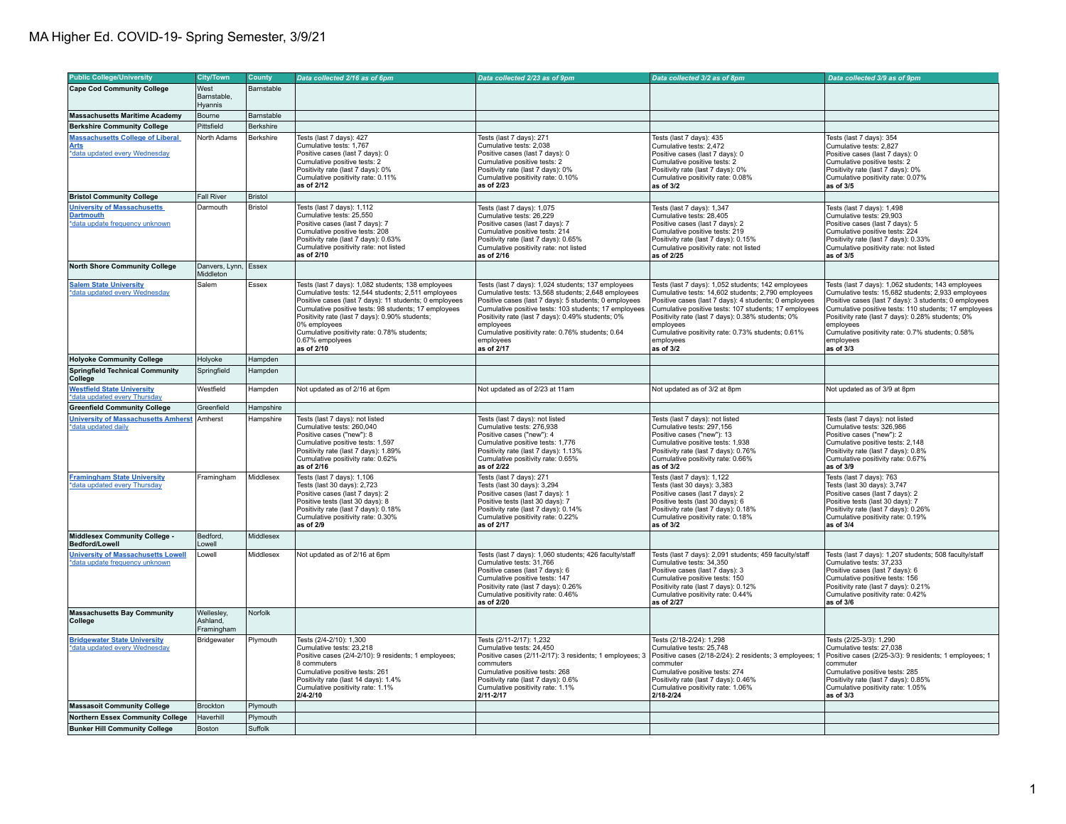| <b>Public College/University</b>                                                         | <b>City/Town</b>                     | County         | Data collected 2/16 as of 6pm                                                                                                                                                                                                                                                                                                                                                | Data collected 2/23 as of 9pm                                                                                                                                                                                                                                                                                                                                               | Data collected 3/2 as of 8pm                                                                                                                                                                                                                                                                                                                                                  | Data collected 3/9 as of 9pm                                                                                                                                                                                                                                                                                                                                                |
|------------------------------------------------------------------------------------------|--------------------------------------|----------------|------------------------------------------------------------------------------------------------------------------------------------------------------------------------------------------------------------------------------------------------------------------------------------------------------------------------------------------------------------------------------|-----------------------------------------------------------------------------------------------------------------------------------------------------------------------------------------------------------------------------------------------------------------------------------------------------------------------------------------------------------------------------|-------------------------------------------------------------------------------------------------------------------------------------------------------------------------------------------------------------------------------------------------------------------------------------------------------------------------------------------------------------------------------|-----------------------------------------------------------------------------------------------------------------------------------------------------------------------------------------------------------------------------------------------------------------------------------------------------------------------------------------------------------------------------|
| <b>Cape Cod Community College</b>                                                        | West                                 | Barnstable     |                                                                                                                                                                                                                                                                                                                                                                              |                                                                                                                                                                                                                                                                                                                                                                             |                                                                                                                                                                                                                                                                                                                                                                               |                                                                                                                                                                                                                                                                                                                                                                             |
|                                                                                          | Barnstable.<br>Hyannis               |                |                                                                                                                                                                                                                                                                                                                                                                              |                                                                                                                                                                                                                                                                                                                                                                             |                                                                                                                                                                                                                                                                                                                                                                               |                                                                                                                                                                                                                                                                                                                                                                             |
| <b>Massachusetts Maritime Academy</b>                                                    | Bourne                               | Barnstable     |                                                                                                                                                                                                                                                                                                                                                                              |                                                                                                                                                                                                                                                                                                                                                                             |                                                                                                                                                                                                                                                                                                                                                                               |                                                                                                                                                                                                                                                                                                                                                                             |
| <b>Berkshire Community College</b>                                                       | Pittsfield                           | Berkshire      |                                                                                                                                                                                                                                                                                                                                                                              |                                                                                                                                                                                                                                                                                                                                                                             |                                                                                                                                                                                                                                                                                                                                                                               |                                                                                                                                                                                                                                                                                                                                                                             |
| <b>Massachusetts College of Liberal</b><br><b>Arts</b><br>*data updated every Wednesday  | North Adams                          | Berkshire      | Tests (last 7 days): 427<br>Cumulative tests: 1.767<br>Positive cases (last 7 days): 0<br>Cumulative positive tests: 2<br>Positivity rate (last 7 days): 0%<br>Cumulative positivity rate: 0.11%<br>as of 2/12                                                                                                                                                               | Tests (last 7 days): 271<br>Cumulative tests: 2.038<br>Positive cases (last 7 days): 0<br>Cumulative positive tests: 2<br>Positivity rate (last 7 days): 0%<br>Cumulative positivity rate: 0.10%<br>as of 2/23                                                                                                                                                              | Tests (last 7 days): 435<br>Cumulative tests: 2.472<br>Positive cases (last 7 days): 0<br>Cumulative positive tests: 2<br>Positivity rate (last 7 days): 0%<br>Cumulative positivity rate: 0.08%<br>as of 3/2                                                                                                                                                                 | Tests (last 7 days): 354<br>Cumulative tests: 2.827<br>Positive cases (last 7 days): 0<br>Cumulative positive tests: 2<br>Positivity rate (last 7 days): 0%<br>Cumulative positivity rate: 0.07%<br>as of 3/5                                                                                                                                                               |
| <b>Bristol Community College</b>                                                         | Fall River                           | <b>Bristol</b> |                                                                                                                                                                                                                                                                                                                                                                              |                                                                                                                                                                                                                                                                                                                                                                             |                                                                                                                                                                                                                                                                                                                                                                               |                                                                                                                                                                                                                                                                                                                                                                             |
| <b>University of Massachusetts</b><br><b>Dartmouth</b><br>*data update frequency unknown | Darmouth                             | <b>Bristol</b> | Tests (last 7 days): 1,112<br>Cumulative tests: 25,550<br>Positive cases (last 7 days): 7<br>Cumulative positive tests: 208<br>Positivity rate (last 7 days): 0.63%<br>Cumulative positivity rate: not listed<br>as of 2/10                                                                                                                                                  | Tests (last 7 days): 1,075<br>Cumulative tests: 26,229<br>Positive cases (last 7 days): 7<br>Cumulative positive tests: 214<br>Positivity rate (last 7 days): 0.65%<br>Cumulative positivity rate: not listed<br>as of 2/16                                                                                                                                                 | Tests (last 7 days): 1,347<br>Cumulative tests: 28,405<br>Positive cases (last 7 days): 2<br>Cumulative positive tests: 219<br>Positivity rate (last 7 days): 0.15%<br>Cumulative positivity rate: not listed<br>as of 2/25                                                                                                                                                   | Tests (last 7 days): 1,498<br>Cumulative tests: 29,903<br>Positive cases (last 7 days): 5<br>Cumulative positive tests: 224<br>Positivity rate (last 7 days): 0.33%<br>Cumulative positivity rate: not listed<br>as of 3/5                                                                                                                                                  |
| <b>North Shore Community College</b>                                                     | Danvers, Lynn, Essex<br>Middleton    |                |                                                                                                                                                                                                                                                                                                                                                                              |                                                                                                                                                                                                                                                                                                                                                                             |                                                                                                                                                                                                                                                                                                                                                                               |                                                                                                                                                                                                                                                                                                                                                                             |
| <b>Salem State University</b><br>*data updated every Wednesday                           | Salem                                | Essex          | Tests (last 7 days): 1,082 students; 138 employees<br>Cumulative tests: 12,544 students; 2,511 employees<br>Positive cases (last 7 days): 11 students; 0 employees<br>Cumulative positive tests: 98 students; 17 employees<br>Positivity rate (last 7 days): 0.90% students;<br>0% employees<br>Cumulative positivity rate: 0.78% students;<br>0.67% empolyees<br>as of 2/10 | Tests (last 7 days): 1,024 students; 137 employees<br>Cumulative tests: 13,568 students; 2,648 employees<br>Positive cases (last 7 days): 5 students; 0 employees<br>Cumulative positive tests: 103 students; 17 employees<br>Positivity rate (last 7 days): 0.49% students; 0%<br>employees<br>Cumulative positivity rate: 0.76% students; 0.64<br>employees<br>as of 2/17 | Tests (last 7 days): 1,052 students; 142 employees<br>Cumulative tests: 14,602 students; 2,790 employees<br>Positive cases (last 7 days): 4 students; 0 employees<br>Cumulative positive tests: 107 students; 17 employees<br>Positivity rate (last 7 days): 0.38% students; 0%<br>employees<br>Cumulative positivity rate: 0.73% students; 0.61%<br>employees<br>as of $3/2$ | Tests (last 7 days): 1,062 students; 143 employees<br>Cumulative tests: 15,682 students; 2,933 employees<br>Positive cases (last 7 days): 3 students; 0 employees<br>Cumulative positive tests: 110 students; 17 employees<br>Positivity rate (last 7 days): 0.28% students; 0%<br>employees<br>Cumulative positivity rate: 0.7% students; 0.58%<br>lemplovees<br>as of 3/3 |
| <b>Holyoke Community College</b>                                                         | Holyoke                              | Hampden        |                                                                                                                                                                                                                                                                                                                                                                              |                                                                                                                                                                                                                                                                                                                                                                             |                                                                                                                                                                                                                                                                                                                                                                               |                                                                                                                                                                                                                                                                                                                                                                             |
| <b>Springfield Technical Community</b><br><b>College</b>                                 | Springfield                          | Hampden        |                                                                                                                                                                                                                                                                                                                                                                              |                                                                                                                                                                                                                                                                                                                                                                             |                                                                                                                                                                                                                                                                                                                                                                               |                                                                                                                                                                                                                                                                                                                                                                             |
| <b>Westfield State University</b>                                                        | Westfield                            | Hampden        | Not updated as of 2/16 at 6pm                                                                                                                                                                                                                                                                                                                                                | Not updated as of 2/23 at 11am                                                                                                                                                                                                                                                                                                                                              | Not updated as of 3/2 at 8pm                                                                                                                                                                                                                                                                                                                                                  | Not updated as of 3/9 at 8pm                                                                                                                                                                                                                                                                                                                                                |
| *data updated every Thursday                                                             |                                      |                |                                                                                                                                                                                                                                                                                                                                                                              |                                                                                                                                                                                                                                                                                                                                                                             |                                                                                                                                                                                                                                                                                                                                                                               |                                                                                                                                                                                                                                                                                                                                                                             |
| <b>Greenfield Community College</b>                                                      | Greenfield                           | Hampshire      |                                                                                                                                                                                                                                                                                                                                                                              |                                                                                                                                                                                                                                                                                                                                                                             |                                                                                                                                                                                                                                                                                                                                                                               |                                                                                                                                                                                                                                                                                                                                                                             |
| <b>University of Massachusetts Amherst</b><br>*data updated daily                        | Amherst                              | Hampshire      | Tests (last 7 days): not listed<br>Cumulative tests: 260.040<br>Positive cases ("new"): 8<br>Cumulative positive tests: 1,597<br>Positivity rate (last 7 days): 1.89%<br>Cumulative positivity rate: 0.62%<br>as of 2/16                                                                                                                                                     | Tests (last 7 days): not listed<br>Cumulative tests: 276.938<br>Positive cases ("new"): 4<br>Cumulative positive tests: 1,776<br>Positivity rate (last 7 days): 1.13%<br>Cumulative positivity rate: 0.65%<br>as of 2/22                                                                                                                                                    | Tests (last 7 days): not listed<br>Cumulative tests: 297.156<br>Positive cases ("new"): 13<br>Cumulative positive tests: 1,938<br>Positivity rate (last 7 days): 0.76%<br>Cumulative positivity rate: 0.66%<br>as of 3/2                                                                                                                                                      | Tests (last 7 days): not listed<br>Cumulative tests: 326.986<br>Positive cases ("new"): 2<br>Cumulative positive tests: 2.148<br>Positivity rate (last 7 days): 0.8%<br>Cumulative positivity rate: 0.67%<br>as of 3/9                                                                                                                                                      |
| <b>Framingham State University</b><br>*data updated every Thursday                       | Framingham                           | Middlesex      | Tests (last 7 days): 1,106<br>Tests (last 30 days): 2,723<br>Positive cases (last 7 days): 2<br>Positive tests (last 30 days): 8<br>Positivity rate (last 7 days): 0.18%<br>Cumulative positivity rate: 0.30%<br>as of 2/9                                                                                                                                                   | Tests (last 7 days): 271<br>Tests (last 30 days): 3,294<br>Positive cases (last 7 days): 1<br>Positive tests (last 30 days): 7<br>Positivity rate (last 7 days): 0.14%<br>Cumulative positivity rate: 0.22%<br>as of 2/17                                                                                                                                                   | Tests (last 7 days): 1,122<br>Tests (last 30 days): 3,383<br>Positive cases (last 7 days): 2<br>Positive tests (last 30 days): 6<br>Positivity rate (last 7 days): 0.18%<br>Cumulative positivity rate: 0.18%<br>as of 3/2                                                                                                                                                    | Tests (last 7 days): 763<br>Tests (last 30 days): 3,747<br>Positive cases (last 7 days): 2<br>Positive tests (last 30 days): 7<br>Positivity rate (last 7 days): 0.26%<br>Cumulative positivity rate: 0.19%<br>as of 3/4                                                                                                                                                    |
| <b>Middlesex Community College -</b><br>Bedford/Lowell                                   | Bedford,<br>Lowell                   | Middlesex      |                                                                                                                                                                                                                                                                                                                                                                              |                                                                                                                                                                                                                                                                                                                                                                             |                                                                                                                                                                                                                                                                                                                                                                               |                                                                                                                                                                                                                                                                                                                                                                             |
| <b>University of Massachusetts Lowell</b><br>*data update frequency unknown              | Lowell                               | Middlesex      | Not updated as of 2/16 at 6pm                                                                                                                                                                                                                                                                                                                                                | Tests (last 7 days): 1,060 students; 426 faculty/staff<br>Cumulative tests: 31,766<br>Positive cases (last 7 days): 6<br>Cumulative positive tests: 147<br>Positivity rate (last 7 days): 0.26%<br>Cumulative positivity rate: 0.46%<br>as of 2/20                                                                                                                          | Tests (last 7 days): 2,091 students; 459 faculty/staff<br>Cumulative tests: 34,350<br>Positive cases (last 7 days): 3<br>Cumulative positive tests: 150<br>Positivity rate (last 7 days): 0.12%<br>Cumulative positivity rate: 0.44%<br>as of 2/27                                                                                                                            | Tests (last 7 days): 1,207 students; 508 faculty/staff<br>Cumulative tests: 37,233<br>Positive cases (last 7 days): 6<br>Cumulative positive tests: 156<br>Positivity rate (last 7 days): 0.21%<br>Cumulative positivity rate: 0.42%<br>as of 3/6                                                                                                                           |
| <b>Massachusetts Bay Community</b><br>College                                            | Wellesley,<br>Ashland.<br>Framingham | Norfolk        |                                                                                                                                                                                                                                                                                                                                                                              |                                                                                                                                                                                                                                                                                                                                                                             |                                                                                                                                                                                                                                                                                                                                                                               |                                                                                                                                                                                                                                                                                                                                                                             |
| <b>Bridgewater State University</b><br>*data updated every Wednesday                     | Bridgewater                          | Plymouth       | Tests (2/4-2/10): 1,300<br>Cumulative tests: 23.218<br>Positive cases (2/4-2/10): 9 residents; 1 employees;<br>8 commuters<br>Cumulative positive tests: 261<br>Positivity rate (last 14 days): 1.4%<br>Cumulative positivity rate: 1.1%<br>$2/4 - 2/10$                                                                                                                     | Tests (2/11-2/17): 1,232<br>Cumulative tests: 24.450<br>Positive cases (2/11-2/17): 3 residents; 1 employees; 3<br>commuters<br>Cumulative positive tests: 268<br>Positivity rate (last 7 days): 0.6%<br>Cumulative positivity rate: 1.1%<br>2/11-2/17                                                                                                                      | Tests (2/18-2/24): 1,298<br>Cumulative tests: 25.748<br>Positive cases (2/18-2/24): 2 residents; 3 employees;<br>commuter<br>Cumulative positive tests: 274<br>Positivity rate (last 7 days): 0.46%<br>Cumulative positivity rate: 1.06%<br>2/18-2/24                                                                                                                         | Tests (2/25-3/3): 1,290<br>Cumulative tests: 27.038<br>Positive cases (2/25-3/3): 9 residents; 1 employees; 1<br>commuter<br>Cumulative positive tests: 285<br>Positivity rate (last 7 days): 0.85%<br>Cumulative positivity rate: 1.05%<br>as of 3/3                                                                                                                       |
| <b>Massasoit Community College</b>                                                       | Brockton                             | Plymouth       |                                                                                                                                                                                                                                                                                                                                                                              |                                                                                                                                                                                                                                                                                                                                                                             |                                                                                                                                                                                                                                                                                                                                                                               |                                                                                                                                                                                                                                                                                                                                                                             |
| Northern Essex Community College                                                         | Haverhill                            | Plymouth       |                                                                                                                                                                                                                                                                                                                                                                              |                                                                                                                                                                                                                                                                                                                                                                             |                                                                                                                                                                                                                                                                                                                                                                               |                                                                                                                                                                                                                                                                                                                                                                             |